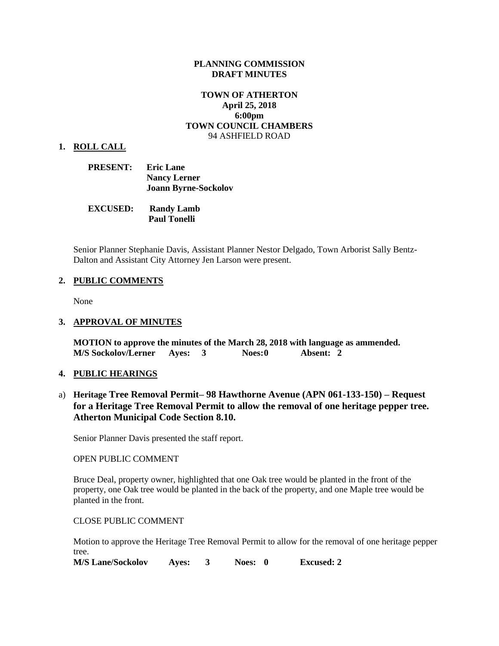## **PLANNING COMMISSION DRAFT MINUTES**

# **TOWN OF ATHERTON April 25, 2018 6:00pm TOWN COUNCIL CHAMBERS** 94 ASHFIELD ROAD

#### **1. ROLL CALL**

- **PRESENT: Eric Lane Nancy Lerner Joann Byrne-Sockolov**
- **EXCUSED: Randy Lamb Paul Tonelli**

Senior Planner Stephanie Davis, Assistant Planner Nestor Delgado, Town Arborist Sally Bentz-Dalton and Assistant City Attorney Jen Larson were present.

## **2. PUBLIC COMMENTS**

None

#### **3. APPROVAL OF MINUTES**

**MOTION to approve the minutes of the March 28, 2018 with language as ammended. M/S Sockolov/Lerner Ayes: 3 Noes:0 Absent: 2**

### **4. PUBLIC HEARINGS**

a) **Heritage Tree Removal Permit– 98 Hawthorne Avenue (APN 061-133-150) – Request for a Heritage Tree Removal Permit to allow the removal of one heritage pepper tree. Atherton Municipal Code Section 8.10.**

Senior Planner Davis presented the staff report.

## OPEN PUBLIC COMMENT

Bruce Deal, property owner, highlighted that one Oak tree would be planted in the front of the property, one Oak tree would be planted in the back of the property, and one Maple tree would be planted in the front.

#### CLOSE PUBLIC COMMENT

Motion to approve the Heritage Tree Removal Permit to allow for the removal of one heritage pepper tree.

**M/S Lane/Sockolov Ayes: 3 Noes: 0 Excused: 2**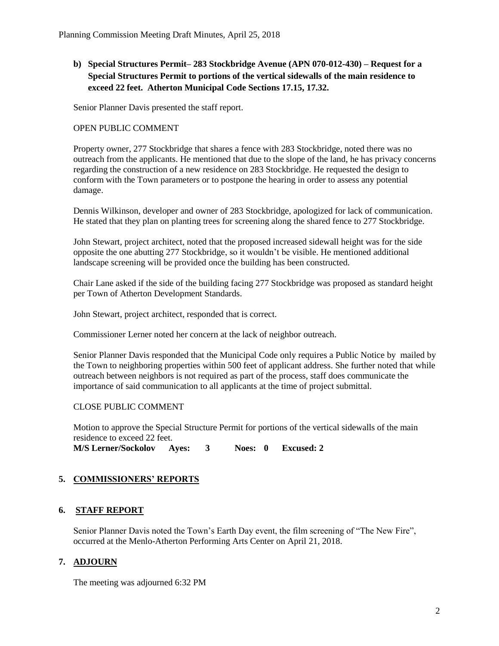**b) Special Structures Permit– 283 Stockbridge Avenue (APN 070-012-430) – Request for a Special Structures Permit to portions of the vertical sidewalls of the main residence to exceed 22 feet. Atherton Municipal Code Sections 17.15, 17.32.**

Senior Planner Davis presented the staff report.

# OPEN PUBLIC COMMENT

Property owner, 277 Stockbridge that shares a fence with 283 Stockbridge, noted there was no outreach from the applicants. He mentioned that due to the slope of the land, he has privacy concerns regarding the construction of a new residence on 283 Stockbridge. He requested the design to conform with the Town parameters or to postpone the hearing in order to assess any potential damage.

Dennis Wilkinson, developer and owner of 283 Stockbridge, apologized for lack of communication. He stated that they plan on planting trees for screening along the shared fence to 277 Stockbridge.

John Stewart, project architect, noted that the proposed increased sidewall height was for the side opposite the one abutting 277 Stockbridge, so it wouldn't be visible. He mentioned additional landscape screening will be provided once the building has been constructed.

Chair Lane asked if the side of the building facing 277 Stockbridge was proposed as standard height per Town of Atherton Development Standards.

John Stewart, project architect, responded that is correct.

Commissioner Lerner noted her concern at the lack of neighbor outreach.

Senior Planner Davis responded that the Municipal Code only requires a Public Notice by mailed by the Town to neighboring properties within 500 feet of applicant address. She further noted that while outreach between neighbors is not required as part of the process, staff does communicate the importance of said communication to all applicants at the time of project submittal.

# CLOSE PUBLIC COMMENT

Motion to approve the Special Structure Permit for portions of the vertical sidewalls of the main residence to exceed 22 feet.

**M/S Lerner/Sockolov Ayes: 3 Noes: 0 Excused: 2**

# **5. COMMISSIONERS' REPORTS**

# **6. STAFF REPORT**

Senior Planner Davis noted the Town's Earth Day event, the film screening of "The New Fire", occurred at the Menlo-Atherton Performing Arts Center on April 21, 2018.

# **7. ADJOURN**

The meeting was adjourned 6:32 PM